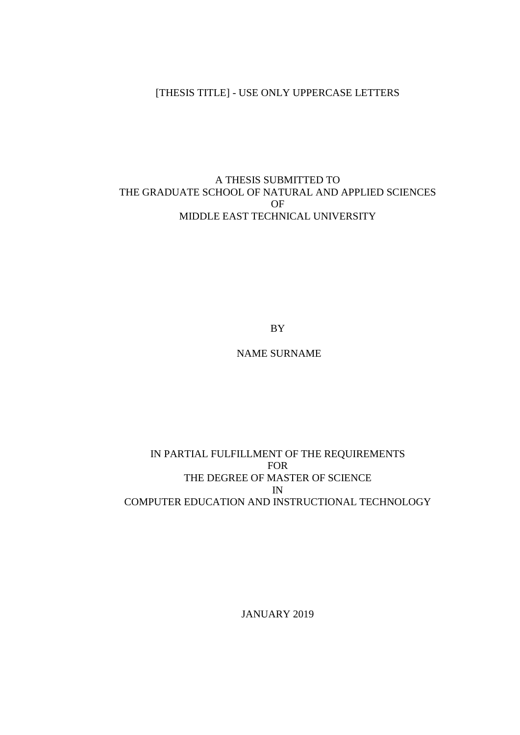# [THESIS TITLE] - USE ONLY UPPERCASE LETTERS

#### A THESIS SUBMITTED TO THE GRADUATE SCHOOL OF NATURAL AND APPLIED SCIENCES OF MIDDLE EAST TECHNICAL UNIVERSITY

BY

NAME SURNAME

#### IN PARTIAL FULFILLMENT OF THE REQUIREMENTS FOR THE DEGREE OF MASTER OF SCIENCE IN COMPUTER EDUCATION AND INSTRUCTIONAL TECHNOLOGY

JANUARY 2019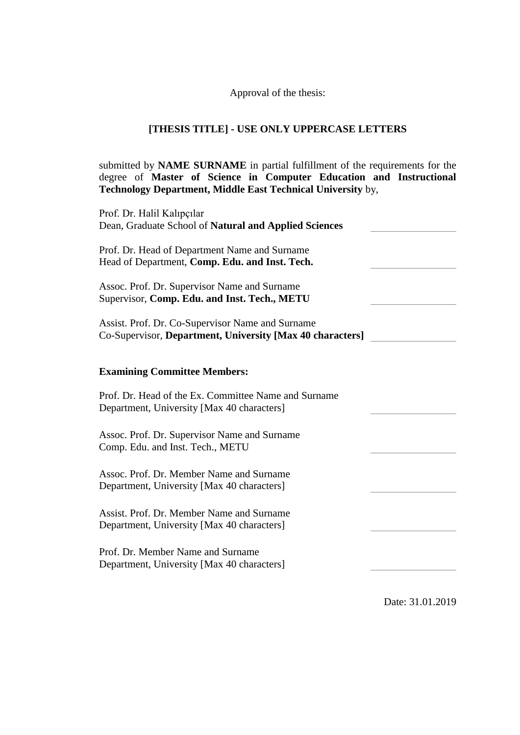### Approval of the thesis:

## **[THESIS TITLE] - USE ONLY UPPERCASE LETTERS**

submitted by **NAME SURNAME** in partial fulfillment of the requirements for the degree of **Master of Science in Computer Education and Instructional Technology Department, Middle East Technical University** by,

| Prof. Dr. Halil Kalıpçılar<br>Dean, Graduate School of Natural and Applied Sciences                           |  |
|---------------------------------------------------------------------------------------------------------------|--|
| Prof. Dr. Head of Department Name and Surname<br>Head of Department, Comp. Edu. and Inst. Tech.               |  |
| Assoc. Prof. Dr. Supervisor Name and Surname<br>Supervisor, Comp. Edu. and Inst. Tech., METU                  |  |
| Assist. Prof. Dr. Co-Supervisor Name and Surname<br>Co-Supervisor, Department, University [Max 40 characters] |  |
| <b>Examining Committee Members:</b>                                                                           |  |
|                                                                                                               |  |
| Prof. Dr. Head of the Ex. Committee Name and Surname<br>Department, University [Max 40 characters]            |  |
| Assoc. Prof. Dr. Supervisor Name and Surname<br>Comp. Edu. and Inst. Tech., METU                              |  |
| Assoc. Prof. Dr. Member Name and Surname<br>Department, University [Max 40 characters]                        |  |
| Assist. Prof. Dr. Member Name and Surname<br>Department, University [Max 40 characters]                       |  |
| Prof. Dr. Member Name and Surname<br>Department, University [Max 40 characters]                               |  |
|                                                                                                               |  |

Date: 31.01.2019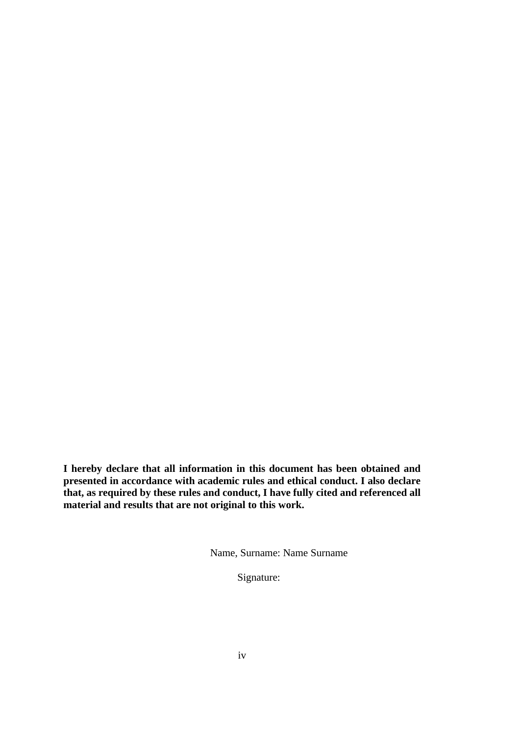**I hereby declare that all information in this document has been obtained and presented in accordance with academic rules and ethical conduct. I also declare that, as required by these rules and conduct, I have fully cited and referenced all material and results that are not original to this work.**

Name, Surname: Name Surname

Signature: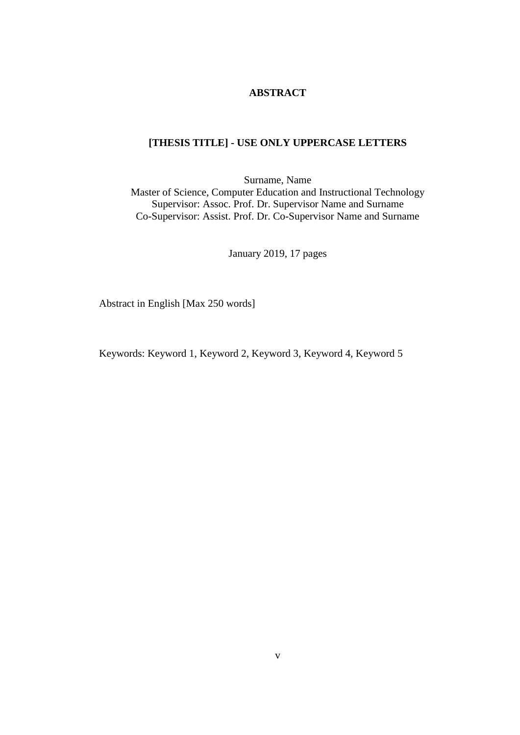### **ABSTRACT**

### <span id="page-4-0"></span>**[THESIS TITLE] - USE ONLY UPPERCASE LETTERS**

Surname, Name Master of Science, Computer Education and Instructional Technology Supervisor: Assoc. Prof. Dr. Supervisor Name and Surname Co-Supervisor: Assist. Prof. Dr. Co-Supervisor Name and Surname

January 2019, 17 pages

Abstract in English [Max 250 words]

Keywords: Keyword 1, Keyword 2, Keyword 3, Keyword 4, Keyword 5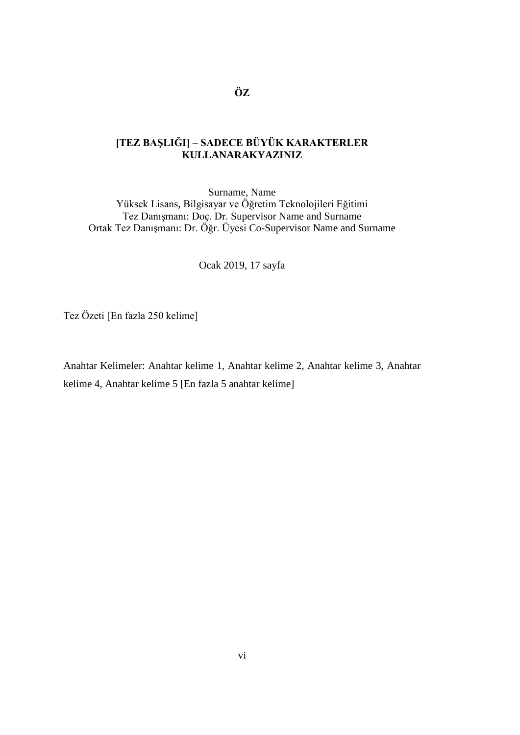## <span id="page-5-0"></span>**[TEZ BAŞLIĞI] – SADECE BÜYÜK KARAKTERLER KULLANARAKYAZINIZ**

Surname, Name Yüksek Lisans, Bilgisayar ve Öğretim Teknolojileri Eğitimi Tez Danışmanı: Doç. Dr. Supervisor Name and Surname Ortak Tez Danışmanı: Dr. Öğr. Üyesi Co-Supervisor Name and Surname

Ocak 2019, 17 sayfa

Tez Özeti [En fazla 250 kelime]

Anahtar Kelimeler: Anahtar kelime 1, Anahtar kelime 2, Anahtar kelime 3, Anahtar kelime 4, Anahtar kelime 5 [En fazla 5 anahtar kelime]

**ÖZ**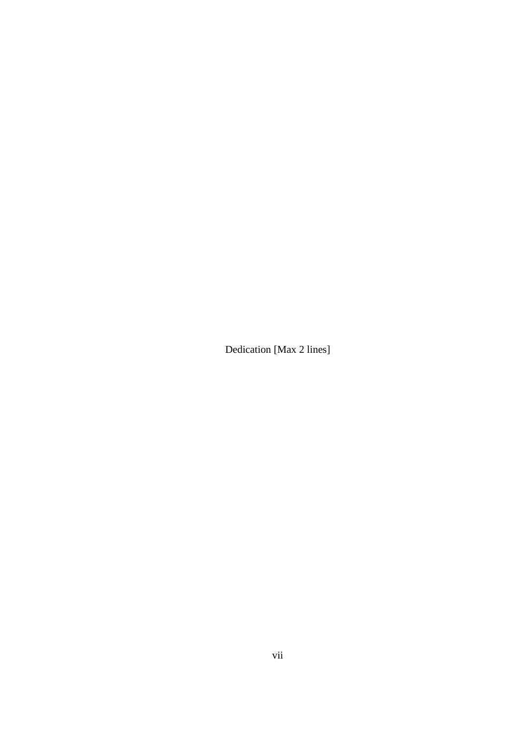Dedication [Max 2 lines]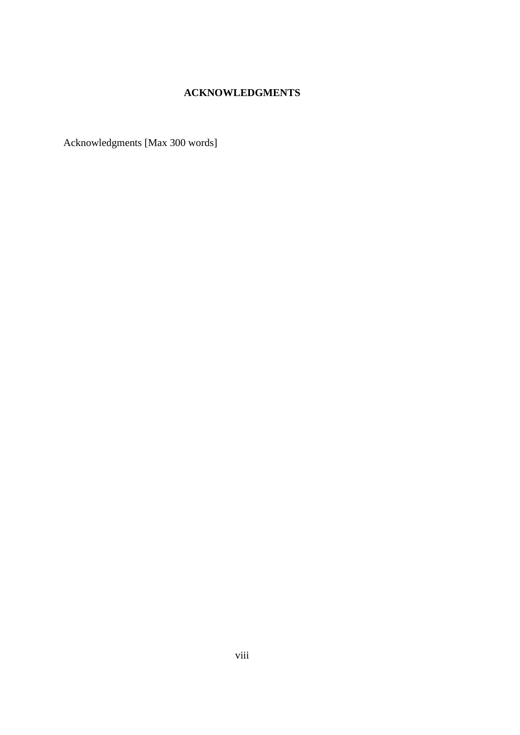## **ACKNOWLEDGMENTS**

<span id="page-7-0"></span>Acknowledgments [Max 300 words]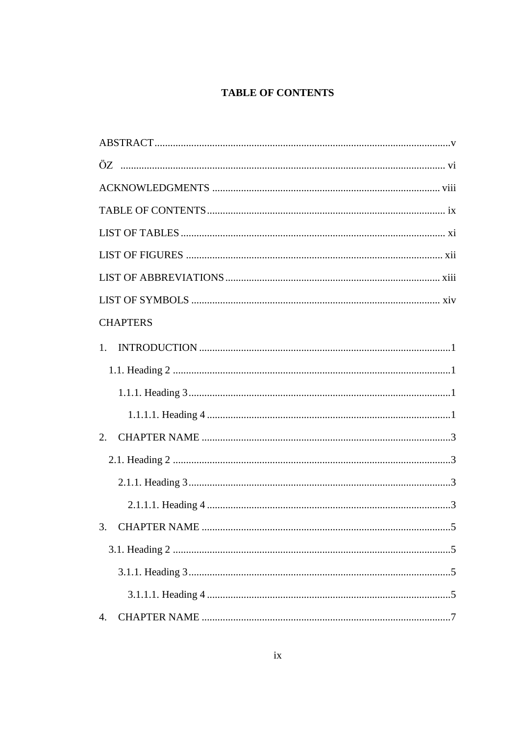# **TABLE OF CONTENTS**

<span id="page-8-0"></span>

| <b>CHAPTERS</b> |
|-----------------|
| 1.              |
|                 |
|                 |
|                 |
| 2.              |
|                 |
|                 |
|                 |
|                 |
|                 |
|                 |
|                 |
| 4.              |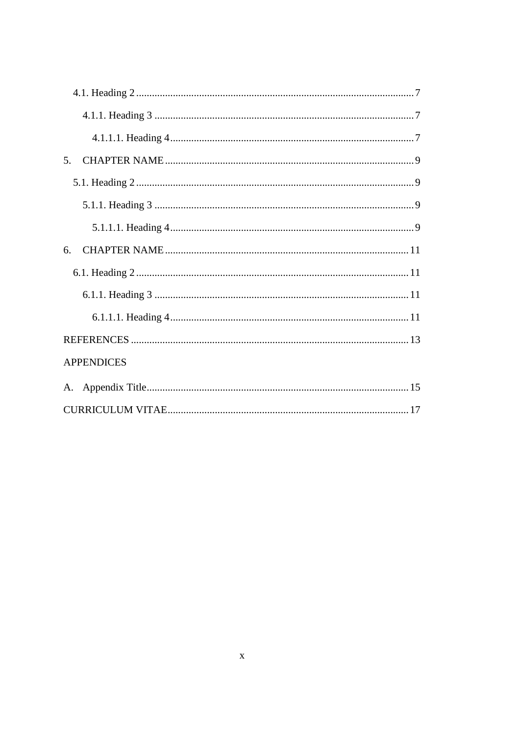| 5.                |
|-------------------|
|                   |
|                   |
|                   |
| 6.                |
|                   |
|                   |
|                   |
|                   |
| <b>APPENDICES</b> |
|                   |
|                   |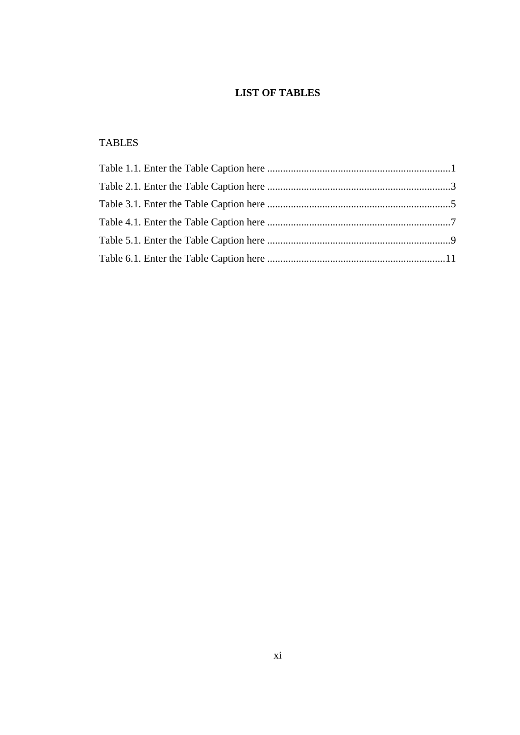# **LIST OF TABLES**

# <span id="page-10-0"></span>TABLES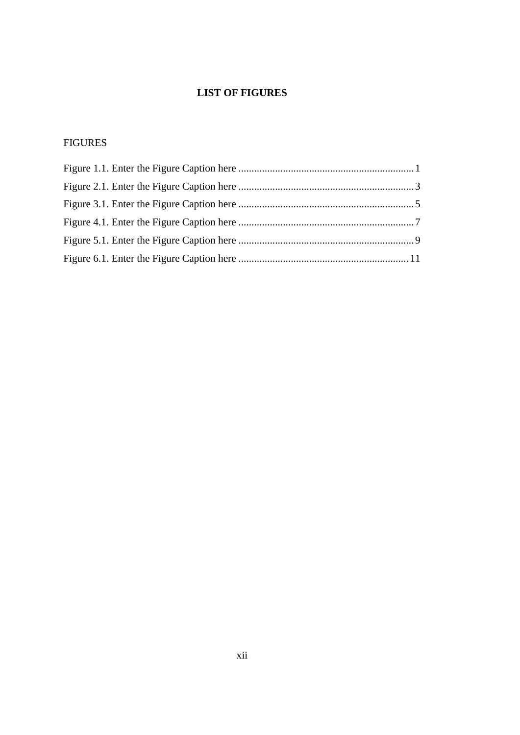# **LIST OF FIGURES**

# <span id="page-11-0"></span>FIGURES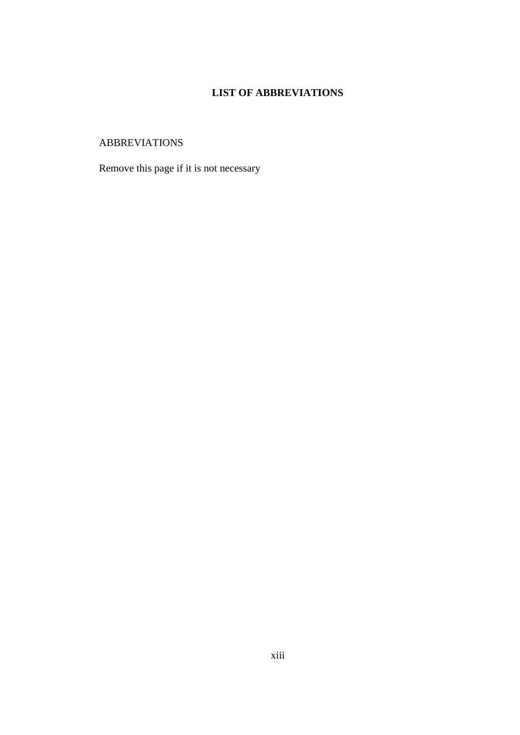# **LIST OF ABBREVIATIONS**

# <span id="page-12-0"></span>ABBREVIATIONS

Remove this page if it is not necessary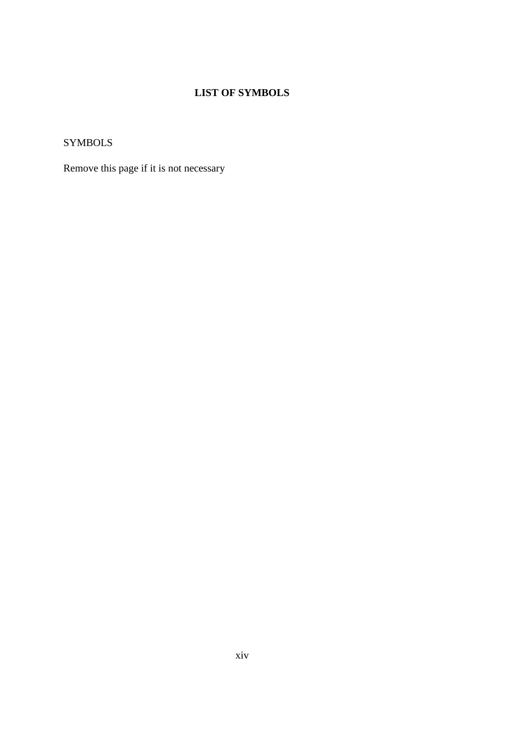# **LIST OF SYMBOLS**

<span id="page-13-0"></span>SYMBOLS

Remove this page if it is not necessary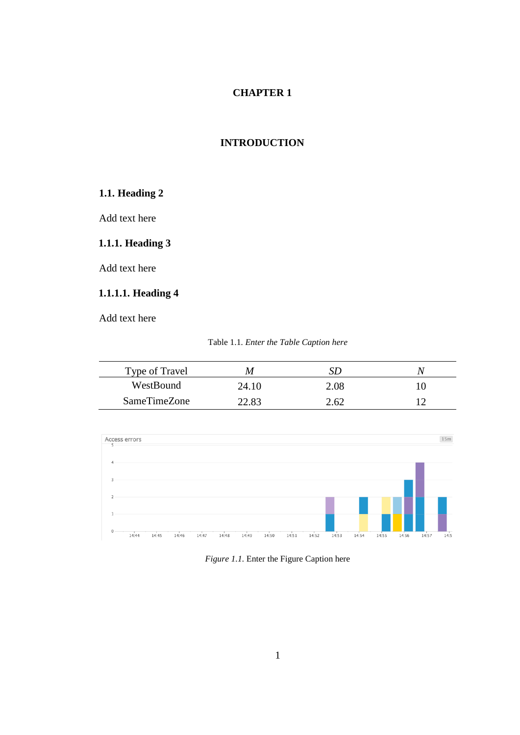#### <span id="page-14-0"></span>**1. INTRODUCTION**

## <span id="page-14-1"></span>**1.1. Heading 2**

Add text here

### <span id="page-14-2"></span>**1.1.1. Heading 3**

Add text here

# <span id="page-14-3"></span>**1.1.1.1. Heading 4**

|  |  |  |  |  | Table 1.1. Enter the Table Caption here |  |
|--|--|--|--|--|-----------------------------------------|--|
|--|--|--|--|--|-----------------------------------------|--|

<span id="page-14-4"></span>

| Type of Travel | M     |          |  |
|----------------|-------|----------|--|
| WestBound      | 24.10 | $2.08\,$ |  |
| SameTimeZone   | 22.83 | 2.62     |  |



<span id="page-14-5"></span>*Figure 1.1.* Enter the Figure Caption here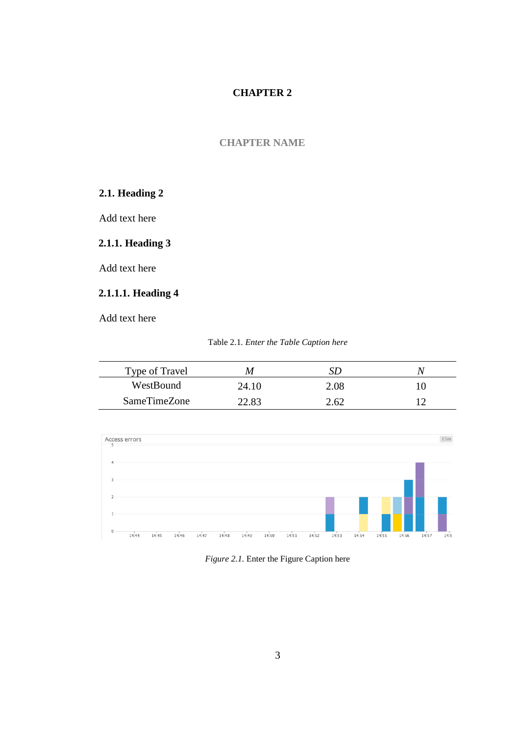#### <span id="page-16-0"></span>**2. CHAPTER NAME**

## <span id="page-16-1"></span>**2.1. Heading 2**

Add text here

### <span id="page-16-2"></span>**2.1.1. Heading 3**

Add text here

# <span id="page-16-3"></span>**2.1.1.1. Heading 4**

<span id="page-16-4"></span>

| Type of Travel | M     |      |  |
|----------------|-------|------|--|
| WestBound      | 24.10 | 2.08 |  |
| SameTimeZone   | 12.82 | 2.62 |  |



<span id="page-16-5"></span>*Figure 2.1.* Enter the Figure Caption here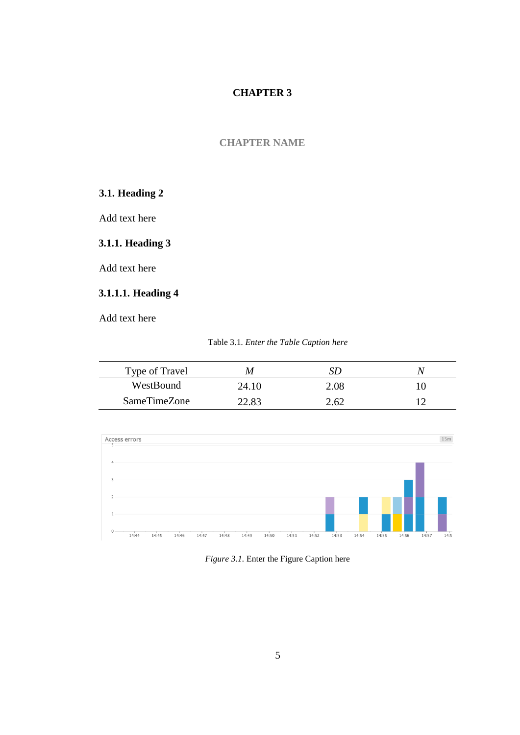#### <span id="page-18-0"></span>**3. CHAPTER NAME**

## <span id="page-18-1"></span>**3.1. Heading 2**

Add text here

### <span id="page-18-2"></span>**3.1.1. Heading 3**

Add text here

# <span id="page-18-3"></span>**3.1.1.1. Heading 4**

| Table 3.1. Enter the Table Caption here |  |  |  |  |  |
|-----------------------------------------|--|--|--|--|--|
|-----------------------------------------|--|--|--|--|--|

<span id="page-18-4"></span>

| Type of Travel | M     |          |  |
|----------------|-------|----------|--|
| WestBound      | 24.10 | $2.08\,$ |  |
| SameTimeZone   | 22.83 | 2.62     |  |



<span id="page-18-5"></span>*Figure 3.1.* Enter the Figure Caption here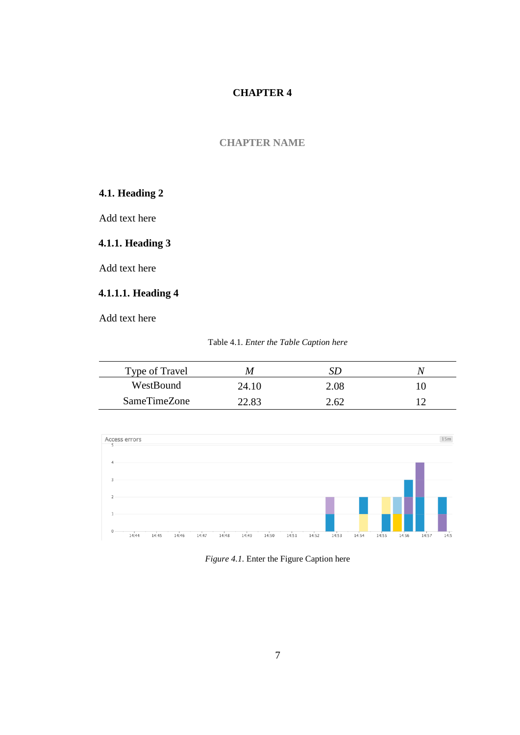#### <span id="page-20-0"></span>**4. CHAPTER NAME**

# <span id="page-20-1"></span>**4.1. Heading 2**

Add text here

### <span id="page-20-2"></span>**4.1.1. Heading 3**

Add text here

# <span id="page-20-3"></span>**4.1.1.1. Heading 4**

<span id="page-20-4"></span>

| Type of Travel | M     |      |  |
|----------------|-------|------|--|
| WestBound      | 24.10 | 2.08 |  |
| SameTimeZone   | 12.82 | 2.62 |  |



<span id="page-20-5"></span>*Figure 4.1.* Enter the Figure Caption here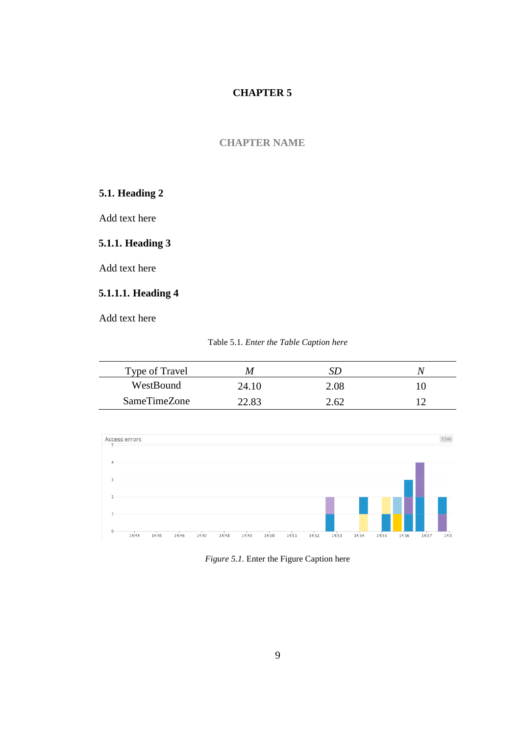#### <span id="page-22-0"></span>**5. CHAPTER NAME**

## <span id="page-22-1"></span>**5.1. Heading 2**

Add text here

### <span id="page-22-2"></span>**5.1.1. Heading 3**

Add text here

# <span id="page-22-3"></span>**5.1.1.1. Heading 4**

<span id="page-22-4"></span>

| Type of Travel | M     |      |  |
|----------------|-------|------|--|
| WestBound      | 24.10 | 2.08 |  |
| SameTimeZone   | 22.83 | 2.62 |  |



<span id="page-22-5"></span>*Figure 5.1.* Enter the Figure Caption here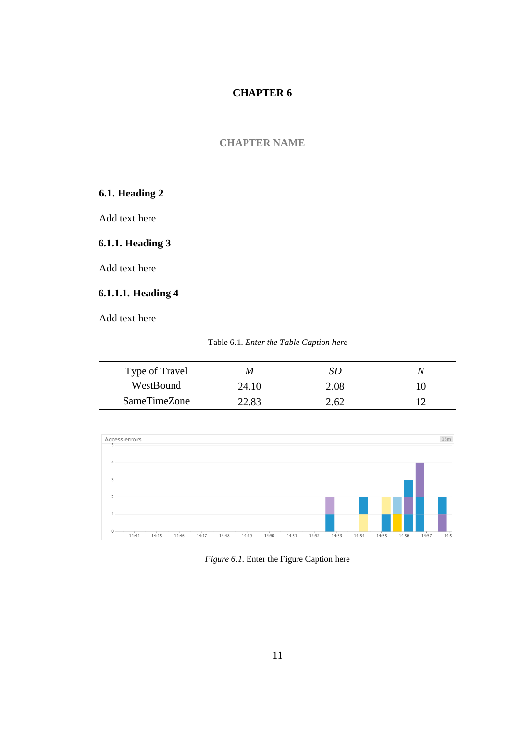#### <span id="page-24-0"></span>**6. CHAPTER NAME**

# <span id="page-24-1"></span>**6.1. Heading 2**

Add text here

### <span id="page-24-2"></span>**6.1.1. Heading 3**

Add text here

# <span id="page-24-3"></span>**6.1.1.1. Heading 4**

| Table 6.1. Enter the Table Caption here |  |  |  |  |  |
|-----------------------------------------|--|--|--|--|--|
|-----------------------------------------|--|--|--|--|--|

<span id="page-24-4"></span>

| Type of Travel | M     |      |  |
|----------------|-------|------|--|
| WestBound      | 24.10 | 2.08 |  |
| SameTimeZone   | 22.83 | 2.62 |  |



<span id="page-24-5"></span>*Figure 6.1.* Enter the Figure Caption here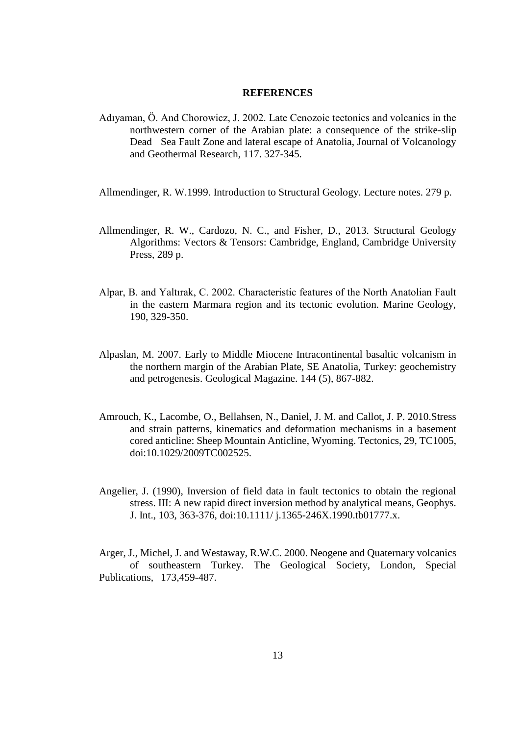#### **REFERENCES**

- <span id="page-26-0"></span>Adıyaman, Ö. And Chorowicz, J. 2002. Late Cenozoic tectonics and volcanics in the northwestern corner of the Arabian plate: a consequence of the strike-slip Dead Sea Fault Zone and lateral escape of Anatolia, Journal of Volcanology and Geothermal Research, 117. 327-345.
- Allmendinger, R. W.1999. Introduction to Structural Geology. Lecture notes. 279 p.
- Allmendinger, R. W., Cardozo, N. C., and Fisher, D., 2013. Structural Geology Algorithms: Vectors & Tensors: Cambridge, England, Cambridge University Press, 289 p.
- Alpar, B. and Yaltırak, C. 2002. Characteristic features of the North Anatolian Fault in the eastern Marmara region and its tectonic evolution. Marine Geology, 190, 329-350.
- Alpaslan, M. 2007. Early to Middle Miocene Intracontinental basaltic volcanism in the northern margin of the Arabian Plate, SE Anatolia, Turkey: geochemistry and petrogenesis. Geological Magazine. 144 (5), 867-882.
- Amrouch, K., Lacombe, O., Bellahsen, N., Daniel, J. M. and Callot, J. P. 2010.Stress and strain patterns, kinematics and deformation mechanisms in a basement cored anticline: Sheep Mountain Anticline, Wyoming. Tectonics, 29, TC1005, doi:10.1029/2009TC002525.
- Angelier, J. (1990), Inversion of field data in fault tectonics to obtain the regional stress. III: A new rapid direct inversion method by analytical means, Geophys. J. Int., 103, 363-376, doi:10.1111/ j.1365-246X.1990.tb01777.x.

Arger, J., Michel, J. and Westaway, R.W.C. 2000. Neogene and Quaternary volcanics of southeastern Turkey. The Geological Society, London, Special Publications, 173,459-487.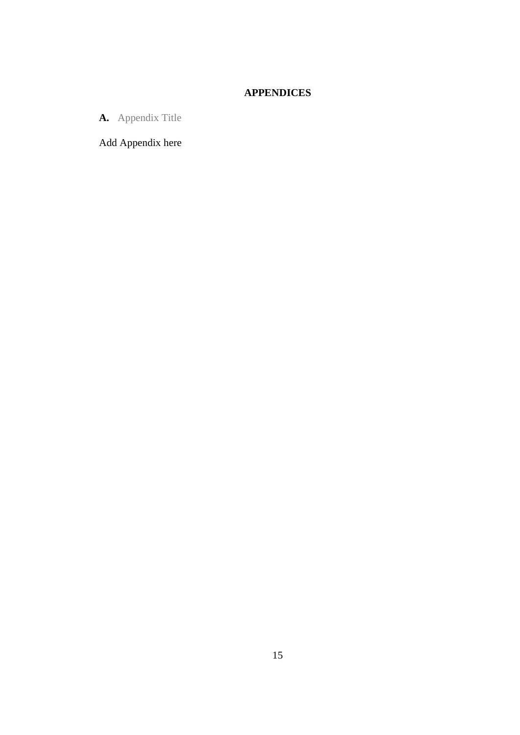# **APPENDICES**

<span id="page-28-0"></span>**A.** Appendix Title

Add Appendix here